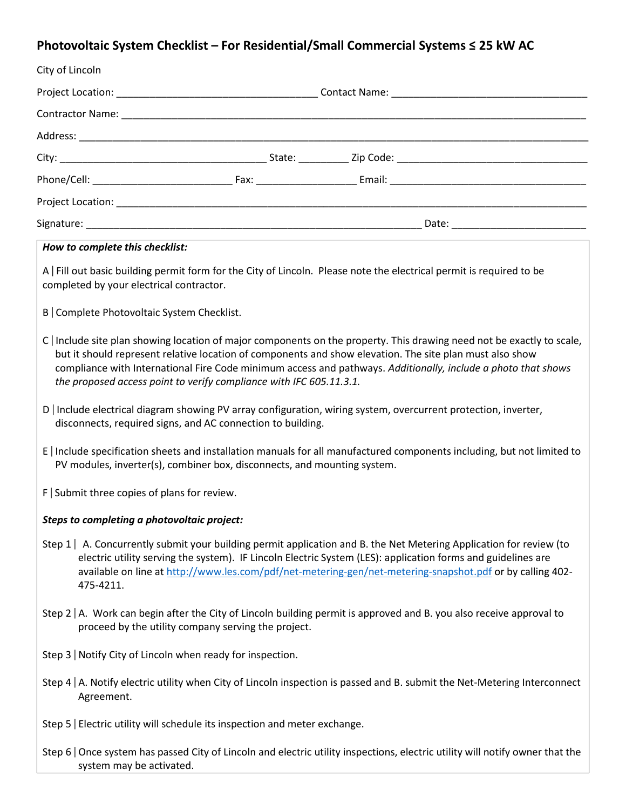# **Photovoltaic System Checklist – For Residential/Small Commercial Systems ≤ 25 kW AC**

| City of Lincoln                                                                                                                                                                                     |                                                                            |                                                                                                                                                                                                                                                                                                                                                   |  |  |  |  |
|-----------------------------------------------------------------------------------------------------------------------------------------------------------------------------------------------------|----------------------------------------------------------------------------|---------------------------------------------------------------------------------------------------------------------------------------------------------------------------------------------------------------------------------------------------------------------------------------------------------------------------------------------------|--|--|--|--|
|                                                                                                                                                                                                     |                                                                            |                                                                                                                                                                                                                                                                                                                                                   |  |  |  |  |
|                                                                                                                                                                                                     |                                                                            |                                                                                                                                                                                                                                                                                                                                                   |  |  |  |  |
|                                                                                                                                                                                                     |                                                                            |                                                                                                                                                                                                                                                                                                                                                   |  |  |  |  |
|                                                                                                                                                                                                     |                                                                            |                                                                                                                                                                                                                                                                                                                                                   |  |  |  |  |
|                                                                                                                                                                                                     |                                                                            |                                                                                                                                                                                                                                                                                                                                                   |  |  |  |  |
|                                                                                                                                                                                                     |                                                                            |                                                                                                                                                                                                                                                                                                                                                   |  |  |  |  |
|                                                                                                                                                                                                     |                                                                            |                                                                                                                                                                                                                                                                                                                                                   |  |  |  |  |
| How to complete this checklist:                                                                                                                                                                     |                                                                            |                                                                                                                                                                                                                                                                                                                                                   |  |  |  |  |
| completed by your electrical contractor.                                                                                                                                                            |                                                                            | A   Fill out basic building permit form for the City of Lincoln. Please note the electrical permit is required to be                                                                                                                                                                                                                              |  |  |  |  |
| B   Complete Photovoltaic System Checklist.                                                                                                                                                         |                                                                            |                                                                                                                                                                                                                                                                                                                                                   |  |  |  |  |
|                                                                                                                                                                                                     | the proposed access point to verify compliance with IFC 605.11.3.1.        | C Include site plan showing location of major components on the property. This drawing need not be exactly to scale,<br>but it should represent relative location of components and show elevation. The site plan must also show<br>compliance with International Fire Code minimum access and pathways. Additionally, include a photo that shows |  |  |  |  |
| D   Include electrical diagram showing PV array configuration, wiring system, overcurrent protection, inverter,<br>disconnects, required signs, and AC connection to building.                      |                                                                            |                                                                                                                                                                                                                                                                                                                                                   |  |  |  |  |
| E   Include specification sheets and installation manuals for all manufactured components including, but not limited to<br>PV modules, inverter(s), combiner box, disconnects, and mounting system. |                                                                            |                                                                                                                                                                                                                                                                                                                                                   |  |  |  |  |
| $F$ Submit three copies of plans for review.                                                                                                                                                        |                                                                            |                                                                                                                                                                                                                                                                                                                                                   |  |  |  |  |
| Steps to completing a photovoltaic project:                                                                                                                                                         |                                                                            |                                                                                                                                                                                                                                                                                                                                                   |  |  |  |  |
| 475-4211.                                                                                                                                                                                           |                                                                            | Step 1   A. Concurrently submit your building permit application and B. the Net Metering Application for review (to<br>electric utility serving the system). IF Lincoln Electric System (LES): application forms and guidelines are<br>available on line at http://www.les.com/pdf/net-metering-gen/net-metering-snapshot.pdf or by calling 402-  |  |  |  |  |
| Step $2 \mid A$ . Work can begin after the City of Lincoln building permit is approved and B. you also receive approval to<br>proceed by the utility company serving the project.                   |                                                                            |                                                                                                                                                                                                                                                                                                                                                   |  |  |  |  |
| Step 3   Notify City of Lincoln when ready for inspection.                                                                                                                                          |                                                                            |                                                                                                                                                                                                                                                                                                                                                   |  |  |  |  |
| Step 4   A. Notify electric utility when City of Lincoln inspection is passed and B. submit the Net-Metering Interconnect<br>Agreement.                                                             |                                                                            |                                                                                                                                                                                                                                                                                                                                                   |  |  |  |  |
|                                                                                                                                                                                                     | Step 5   Electric utility will schedule its inspection and meter exchange. |                                                                                                                                                                                                                                                                                                                                                   |  |  |  |  |
| Step 6   Once system has passed City of Lincoln and electric utility inspections, electric utility will notify owner that the                                                                       |                                                                            |                                                                                                                                                                                                                                                                                                                                                   |  |  |  |  |

system may be activated.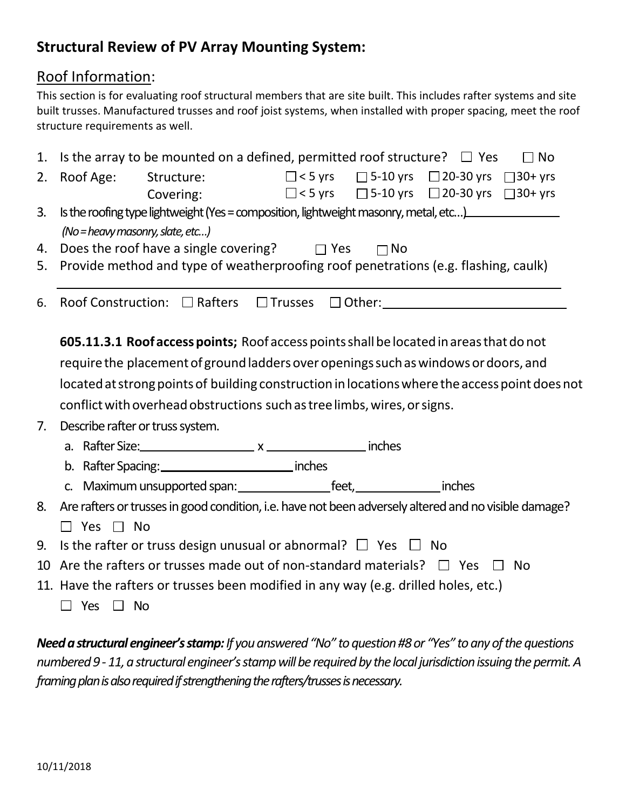# **Structural Review of PV Array Mounting System:**

#### Roof Information:

This section is for evaluating roof structural members that are site built. This includes rafter systems and site built trusses. Manufactured trusses and roof joist systems, when installed with proper spacing, meet the roof structure requirements as well.

| 1. | Is the array to be mounted on a defined, permitted roof structure? $\Box$ Yes<br>$\Box$ No                                                                           |  |  |  |  |  |  |
|----|----------------------------------------------------------------------------------------------------------------------------------------------------------------------|--|--|--|--|--|--|
| 2. | Structure: $\Box$ <5 yrs $\Box$ 5-10 yrs $\Box$ 20-30 yrs $\Box$ 30+ yrs<br>Roof Age:<br>$\Box$ < 5 yrs $\Box$ 5-10 yrs $\Box$ 20-30 yrs $\Box$ 30+ yrs<br>Covering: |  |  |  |  |  |  |
| 3. | Is the roofing type lightweight (Yes = composition, lightweight masonry, metal, etc)<br>$(No = heavy masonry,$ slate, etc)                                           |  |  |  |  |  |  |
| 4. | Does the roof have a single covering? $\Box$ Yes<br>$\Box$ No                                                                                                        |  |  |  |  |  |  |
| 5. | Provide method and type of weatherproofing roof penetrations (e.g. flashing, caulk)                                                                                  |  |  |  |  |  |  |
| 6. | 605.11.3.1 Roof access points; Roof access points shall be located in areas that do not                                                                              |  |  |  |  |  |  |
|    |                                                                                                                                                                      |  |  |  |  |  |  |
|    | require the placement of ground ladders over openings such as windows or doors, and                                                                                  |  |  |  |  |  |  |
|    | located at strong points of building construction in locations where the access point does not                                                                       |  |  |  |  |  |  |
|    | conflict with overhead obstructions such as tree limbs, wires, or signs.                                                                                             |  |  |  |  |  |  |
| 7. | Describe rafter or truss system.                                                                                                                                     |  |  |  |  |  |  |
|    |                                                                                                                                                                      |  |  |  |  |  |  |
|    | b. Rafter Spacing: _________________________________ inches                                                                                                          |  |  |  |  |  |  |
|    |                                                                                                                                                                      |  |  |  |  |  |  |
| 8. | Are rafters or trusses in good condition, i.e. have not been adversely altered and no visible damage?                                                                |  |  |  |  |  |  |
|    | $\Box$ Yes $\Box$ No                                                                                                                                                 |  |  |  |  |  |  |
| 9. | Is the rafter or truss design unusual or abnormal? $\Box$ Yes $\Box$ No                                                                                              |  |  |  |  |  |  |
| 10 | Are the rafters or trusses made out of non-standard materials? $\Box$ Yes $\Box$ No                                                                                  |  |  |  |  |  |  |
|    | 11. Have the rafters or trusses been modified in any way (e.g. drilled holes, etc.)                                                                                  |  |  |  |  |  |  |
|    | $\Box$ Yes $\Box$ No                                                                                                                                                 |  |  |  |  |  |  |

*Need a structural engineer's stamp:If you answered "No" to question #8 or "Yes" to any of the questions numbered 9 - 11, a structural engineer's stamp will be required by the local jurisdiction issuing the permit.A framing plan is also required if strengthening the rafters/trusses is necessary.*